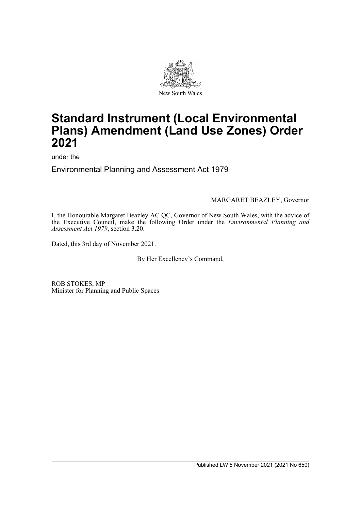

# **Standard Instrument (Local Environmental Plans) Amendment (Land Use Zones) Order 2021**

under the

Environmental Planning and Assessment Act 1979

MARGARET BEAZLEY, Governor

I, the Honourable Margaret Beazley AC QC, Governor of New South Wales, with the advice of the Executive Council, make the following Order under the *Environmental Planning and Assessment Act 1979*, section 3.20.

Dated, this 3rd day of November 2021.

By Her Excellency's Command,

ROB STOKES, MP Minister for Planning and Public Spaces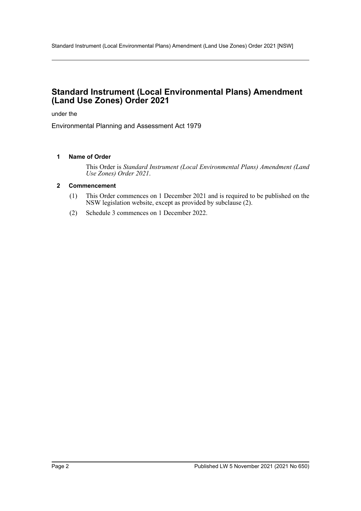## **Standard Instrument (Local Environmental Plans) Amendment (Land Use Zones) Order 2021**

under the

Environmental Planning and Assessment Act 1979

#### **1 Name of Order**

This Order is *Standard Instrument (Local Environmental Plans) Amendment (Land Use Zones) Order 2021*.

#### **2 Commencement**

- (1) This Order commences on 1 December 2021 and is required to be published on the NSW legislation website, except as provided by subclause (2).
- (2) Schedule 3 commences on 1 December 2022.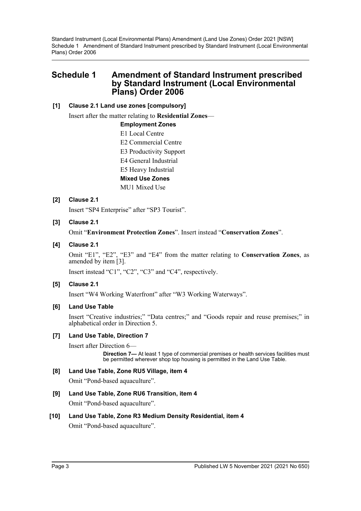## **Schedule 1 Amendment of Standard Instrument prescribed by Standard Instrument (Local Environmental Plans) Order 2006**

### **[1] Clause 2.1 Land use zones [compulsory]**

Insert after the matter relating to **Residential Zones**—

## **Employment Zones**

E1 Local Centre

E2 Commercial Centre

E3 Productivity Support

E4 General Industrial

## E5 Heavy Industrial

## **Mixed Use Zones**

MU1 Mixed Use

#### **[2] Clause 2.1**

Insert "SP4 Enterprise" after "SP3 Tourist".

### **[3] Clause 2.1**

Omit "**Environment Protection Zones**". Insert instead "**Conservation Zones**".

#### **[4] Clause 2.1**

Omit "E1", "E2", "E3" and "E4" from the matter relating to **Conservation Zones**, as amended by item [3].

Insert instead "C1", "C2", "C3" and "C4", respectively.

#### **[5] Clause 2.1**

Insert "W4 Working Waterfront" after "W3 Working Waterways".

#### **[6] Land Use Table**

Insert "Creative industries;" "Data centres;" and "Goods repair and reuse premises;" in alphabetical order in Direction 5.

#### **[7] Land Use Table, Direction 7**

Insert after Direction 6—

**Direction 7—** At least 1 type of commercial premises or health services facilities must be permitted wherever shop top housing is permitted in the Land Use Table.

#### **[8] Land Use Table, Zone RU5 Village, item 4**

Omit "Pond-based aquaculture".

#### **[9] Land Use Table, Zone RU6 Transition, item 4**

Omit "Pond-based aquaculture".

#### **[10] Land Use Table, Zone R3 Medium Density Residential, item 4**

Omit "Pond-based aquaculture".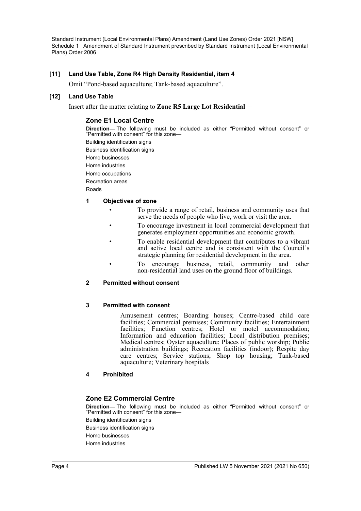#### **[11] Land Use Table, Zone R4 High Density Residential, item 4**

Omit "Pond-based aquaculture; Tank-based aquaculture".

#### **[12] Land Use Table**

Insert after the matter relating to **Zone R5 Large Lot Residential**—

#### **Zone E1 Local Centre**

**Direction—** The following must be included as either "Permitted without consent" or "Permitted with consent" for this zone—

Building identification signs

Business identification signs

Home businesses

Home industries

Home occupations

Recreation areas

Roads

#### **1 Objectives of zone**

- To provide a range of retail, business and community uses that serve the needs of people who live, work or visit the area.
- To encourage investment in local commercial development that generates employment opportunities and economic growth.
- To enable residential development that contributes to a vibrant and active local centre and is consistent with the Council's strategic planning for residential development in the area.
	- To encourage business, retail, community and other non-residential land uses on the ground floor of buildings.

#### **2 Permitted without consent**

#### **3 Permitted with consent**

Amusement centres; Boarding houses; Centre-based child care facilities; Commercial premises; Community facilities; Entertainment facilities; Function centres; Hotel or motel accommodation; Information and education facilities; Local distribution premises; Medical centres; Oyster aquaculture; Places of public worship; Public administration buildings; Recreation facilities (indoor); Respite day care centres; Service stations; Shop top housing; Tank-based aquaculture; Veterinary hospitals

#### **4 Prohibited**

#### **Zone E2 Commercial Centre**

**Direction—** The following must be included as either "Permitted without consent" or "Permitted with consent" for this zone—

Building identification signs Business identification signs Home businesses Home industries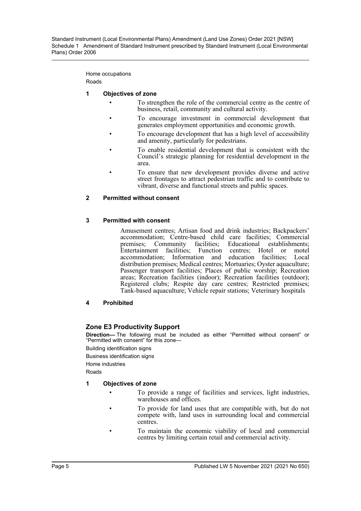Home occupations Roads

**1 Objectives of zone**

- To strengthen the role of the commercial centre as the centre of business, retail, community and cultural activity.
- To encourage investment in commercial development that generates employment opportunities and economic growth.
- To encourage development that has a high level of accessibility and amenity, particularly for pedestrians.
- To enable residential development that is consistent with the Council's strategic planning for residential development in the area.
- To ensure that new development provides diverse and active street frontages to attract pedestrian traffic and to contribute to vibrant, diverse and functional streets and public spaces.

## **2 Permitted without consent**

## **3 Permitted with consent**

Amusement centres; Artisan food and drink industries; Backpackers' accommodation; Centre-based child care facilities; Commercial premises; Community facilities; Educational establishments; Entertainment facilities; Function centres; Hotel or motel accommodation; Information and education facilities; Local distribution premises; Medical centres; Mortuaries; Oyster aquaculture; Passenger transport facilities; Places of public worship; Recreation areas; Recreation facilities (indoor); Recreation facilities (outdoor); Registered clubs; Respite day care centres; Restricted premises; Tank-based aquaculture; Vehicle repair stations; Veterinary hospitals

**4 Prohibited**

## **Zone E3 Productivity Support**

**Direction—** The following must be included as either "Permitted without consent" or "Permitted with consent" for this zone—

Building identification signs Business identification signs Home industries

Roads

## **1 Objectives of zone**

- To provide a range of facilities and services, light industries, warehouses and offices.
- To provide for land uses that are compatible with, but do not compete with, land uses in surrounding local and commercial centres.
- To maintain the economic viability of local and commercial centres by limiting certain retail and commercial activity.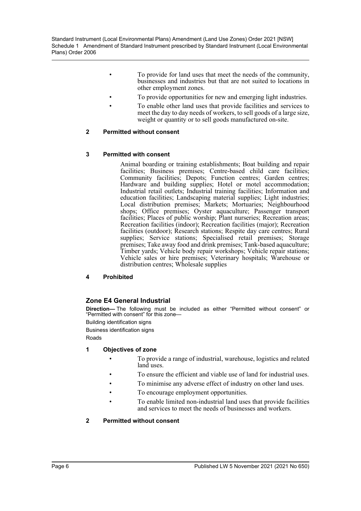- To provide for land uses that meet the needs of the community, businesses and industries but that are not suited to locations in other employment zones.
- To provide opportunities for new and emerging light industries.
- To enable other land uses that provide facilities and services to meet the day to day needs of workers, to sell goods of a large size, weight or quantity or to sell goods manufactured on-site.

## **2 Permitted without consent**

#### **3 Permitted with consent**

Animal boarding or training establishments; Boat building and repair facilities; Business premises; Centre-based child care facilities; Community facilities; Depots; Function centres; Garden centres; Hardware and building supplies; Hotel or motel accommodation; Industrial retail outlets; Industrial training facilities; Information and education facilities; Landscaping material supplies; Light industries; Local distribution premises; Markets; Mortuaries; Neighbourhood shops; Office premises; Oyster aquaculture; Passenger transport facilities; Places of public worship; Plant nurseries; Recreation areas; Recreation facilities (indoor); Recreation facilities (major); Recreation facilities (outdoor); Research stations; Respite day care centres; Rural supplies; Service stations; Specialised retail premises; Storage premises; Take away food and drink premises; Tank-based aquaculture; Timber yards; Vehicle body repair workshops; Vehicle repair stations; Vehicle sales or hire premises; Veterinary hospitals; Warehouse or distribution centres; Wholesale supplies

#### **4 Prohibited**

## **Zone E4 General Industrial**

**Direction—** The following must be included as either "Permitted without consent" or "Permitted with consent" for this zone-

Building identification signs

Business identification signs

Roads

#### **1 Objectives of zone**

- To provide a range of industrial, warehouse, logistics and related land uses.
- To ensure the efficient and viable use of land for industrial uses.
- To minimise any adverse effect of industry on other land uses.
- To encourage employment opportunities.
- To enable limited non-industrial land uses that provide facilities and services to meet the needs of businesses and workers.

#### **2 Permitted without consent**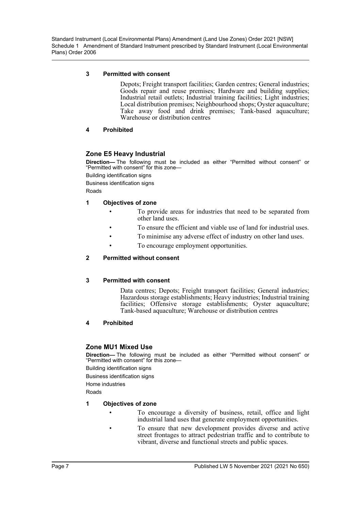#### **3 Permitted with consent**

Depots; Freight transport facilities; Garden centres; General industries; Goods repair and reuse premises; Hardware and building supplies; Industrial retail outlets; Industrial training facilities; Light industries; Local distribution premises; Neighbourhood shops; Oyster aquaculture; Take away food and drink premises; Tank-based aquaculture; Warehouse or distribution centres

#### **4 Prohibited**

## **Zone E5 Heavy Industrial**

**Direction—** The following must be included as either "Permitted without consent" or "Permitted with consent" for this zone—

Building identification signs Business identification signs Roads

## **1 Objectives of zone**

- To provide areas for industries that need to be separated from other land uses.
- To ensure the efficient and viable use of land for industrial uses.
- To minimise any adverse effect of industry on other land uses.
- To encourage employment opportunities.

#### **2 Permitted without consent**

#### **3 Permitted with consent**

Data centres; Depots; Freight transport facilities; General industries; Hazardous storage establishments; Heavy industries; Industrial training facilities; Offensive storage establishments; Oyster aquaculture; Tank-based aquaculture; Warehouse or distribution centres

#### **4 Prohibited**

#### **Zone MU1 Mixed Use**

**Direction—** The following must be included as either "Permitted without consent" or "Permitted with consent" for this zone—

Building identification signs

Business identification signs

Home industries

Roads

#### **1 Objectives of zone**

- To encourage a diversity of business, retail, office and light industrial land uses that generate employment opportunities.
- To ensure that new development provides diverse and active street frontages to attract pedestrian traffic and to contribute to vibrant, diverse and functional streets and public spaces.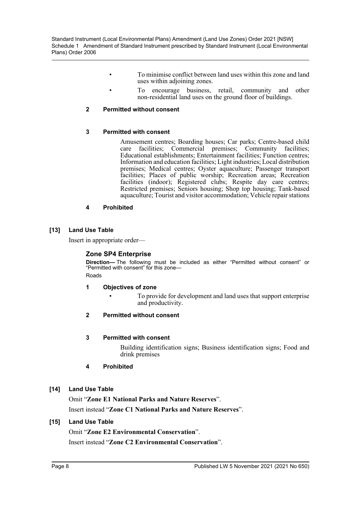- To minimise conflict between land uses within this zone and land uses within adjoining zones.
- To encourage business, retail, community and other non-residential land uses on the ground floor of buildings.

### **2 Permitted without consent**

#### **3 Permitted with consent**

Amusement centres; Boarding houses; Car parks; Centre-based child care facilities; Commercial premises; Community facilities; Educational establishments; Entertainment facilities; Function centres; Information and education facilities; Light industries; Local distribution premises; Medical centres; Oyster aquaculture; Passenger transport facilities; Places of public worship; Recreation areas; Recreation facilities (indoor); Registered clubs; Respite day care centres; Restricted premises; Seniors housing; Shop top housing; Tank-based aquaculture; Tourist and visitor accommodation; Vehicle repair stations

#### **4 Prohibited**

#### **[13] Land Use Table**

Insert in appropriate order—

#### **Zone SP4 Enterprise**

**Direction—** The following must be included as either "Permitted without consent" or "Permitted with consent" for this zone— Roads

**1 Objectives of zone**

• To provide for development and land uses that support enterprise and productivity.

**2 Permitted without consent**

#### **3 Permitted with consent**

Building identification signs; Business identification signs; Food and drink premises

#### **4 Prohibited**

#### **[14] Land Use Table**

Omit "**Zone E1 National Parks and Nature Reserves**". Insert instead "**Zone C1 National Parks and Nature Reserves**".

#### **[15] Land Use Table**

Omit "**Zone E2 Environmental Conservation**".

Insert instead "**Zone C2 Environmental Conservation**".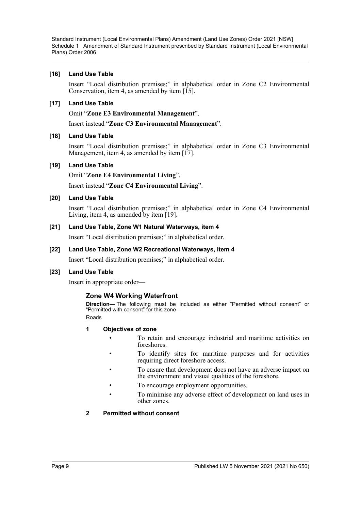#### **[16] Land Use Table**

Insert "Local distribution premises;" in alphabetical order in Zone C2 Environmental Conservation, item 4, as amended by item  $[15]$ .

#### **[17] Land Use Table**

Omit "**Zone E3 Environmental Management**".

Insert instead "**Zone C3 Environmental Management**".

#### **[18] Land Use Table**

Insert "Local distribution premises;" in alphabetical order in Zone C3 Environmental Management, item 4, as amended by item [17].

#### **[19] Land Use Table**

#### Omit "**Zone E4 Environmental Living**".

Insert instead "**Zone C4 Environmental Living**".

#### **[20] Land Use Table**

Insert "Local distribution premises;" in alphabetical order in Zone C4 Environmental Living, item 4, as amended by item [19].

#### **[21] Land Use Table, Zone W1 Natural Waterways, item 4**

Insert "Local distribution premises;" in alphabetical order.

#### **[22] Land Use Table, Zone W2 Recreational Waterways, item 4**

Insert "Local distribution premises;" in alphabetical order.

#### **[23] Land Use Table**

Insert in appropriate order—

#### **Zone W4 Working Waterfront**

**Direction—** The following must be included as either "Permitted without consent" or "Permitted with consent" for this zone—

Roads

#### **1 Objectives of zone**

- To retain and encourage industrial and maritime activities on foreshores.
- To identify sites for maritime purposes and for activities requiring direct foreshore access.
- To ensure that development does not have an adverse impact on the environment and visual qualities of the foreshore.
- To encourage employment opportunities.
- To minimise any adverse effect of development on land uses in other zones.

#### **2 Permitted without consent**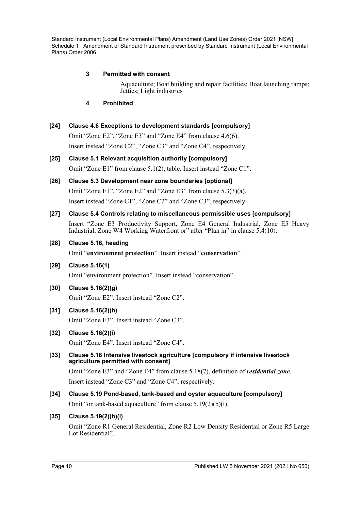#### **3 Permitted with consent**

Aquaculture; Boat building and repair facilities; Boat launching ramps; Jetties; Light industries

## **4 Prohibited**

## **[24] Clause 4.6 Exceptions to development standards [compulsory]**

Omit "Zone E2", "Zone E3" and "Zone E4" from clause 4.6(6).

Insert instead "Zone C2", "Zone C3" and "Zone C4", respectively.

**[25] Clause 5.1 Relevant acquisition authority [compulsory]** Omit "Zone E1" from clause 5.1(2), table. Insert instead "Zone C1".

#### **[26] Clause 5.3 Development near zone boundaries [optional]**

Omit "Zone E1", "Zone E2" and "Zone E3" from clause 5.3(3)(a). Insert instead "Zone C1", "Zone C2" and "Zone C3", respectively.

#### **[27] Clause 5.4 Controls relating to miscellaneous permissible uses [compulsory]**

Insert "Zone E3 Productivity Support, Zone E4 General Industrial, Zone E5 Heavy Industrial, Zone W4 Working Waterfront or" after "Plan in" in clause 5.4(10).

#### **[28] Clause 5.16, heading**

Omit "**environment protection**". Insert instead "**conservation**".

**[29] Clause 5.16(1)**

Omit "environment protection". Insert instead "conservation".

## **[30] Clause 5.16(2)(g)**

Omit "Zone E2". Insert instead "Zone C2".

## **[31] Clause 5.16(2)(h)**

Omit "Zone E3". Insert instead "Zone C3".

## **[32] Clause 5.16(2)(i)**

Omit "Zone E4". Insert instead "Zone C4".

## **[33] Clause 5.18 Intensive livestock agriculture [compulsory if intensive livestock agriculture permitted with consent]**

Omit "Zone E3" and "Zone E4" from clause 5.18(7), definition of *residential zone*. Insert instead "Zone C3" and "Zone C4", respectively.

## **[34] Clause 5.19 Pond-based, tank-based and oyster aquaculture [compulsory]**

Omit "or tank-based aquaculture" from clause 5.19(2)(b)(i).

#### **[35] Clause 5.19(2)(b)(i)**

Omit "Zone R1 General Residential, Zone R2 Low Density Residential or Zone R5 Large Lot Residential".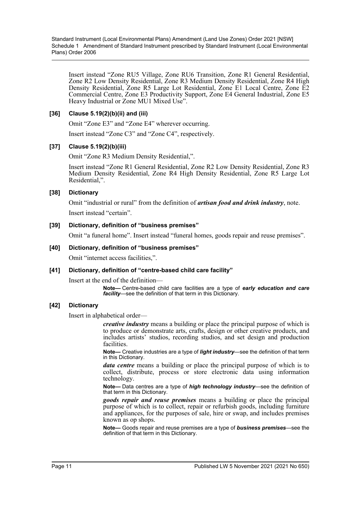Insert instead "Zone RU5 Village, Zone RU6 Transition, Zone R1 General Residential, Zone R2 Low Density Residential, Zone R3 Medium Density Residential, Zone R4 High Density Residential, Zone R5 Large Lot Residential, Zone E1 Local Centre, Zone E2 Commercial Centre, Zone E3 Productivity Support, Zone E4 General Industrial, Zone E5 Heavy Industrial or Zone MU1 Mixed Use".

#### **[36] Clause 5.19(2)(b)(ii) and (iii)**

Omit "Zone E3" and "Zone E4" wherever occurring.

Insert instead "Zone C3" and "Zone C4", respectively.

#### **[37] Clause 5.19(2)(b)(iii)**

Omit "Zone R3 Medium Density Residential,".

Insert instead "Zone R1 General Residential, Zone R2 Low Density Residential, Zone R3 Medium Density Residential, Zone R4 High Density Residential, Zone R5 Large Lot Residential,".

#### **[38] Dictionary**

Omit "industrial or rural" from the definition of *artisan food and drink industry*, note. Insert instead "certain".

## **[39] Dictionary, definition of "business premises"**

Omit "a funeral home". Insert instead "funeral homes, goods repair and reuse premises".

#### **[40] Dictionary, definition of "business premises"**

Omit "internet access facilities,".

#### **[41] Dictionary, definition of "centre-based child care facility"**

Insert at the end of the definition—

**Note—** Centre-based child care facilities are a type of *early education and care facility*—see the definition of that term in this Dictionary.

#### **[42] Dictionary**

Insert in alphabetical order—

*creative industry* means a building or place the principal purpose of which is to produce or demonstrate arts, crafts, design or other creative products, and includes artists' studios, recording studios, and set design and production facilities.

**Note—** Creative industries are a type of *light industry*—see the definition of that term in this Dictionary.

*data centre* means a building or place the principal purpose of which is to collect, distribute, process or store electronic data using information technology.

**Note—** Data centres are a type of *high technology industry*—see the definition of that term in this Dictionary.

*goods repair and reuse premises* means a building or place the principal purpose of which is to collect, repair or refurbish goods, including furniture and appliances, for the purposes of sale, hire or swap, and includes premises known as op shops.

**Note—** Goods repair and reuse premises are a type of *business premises*—see the definition of that term in this Dictionary.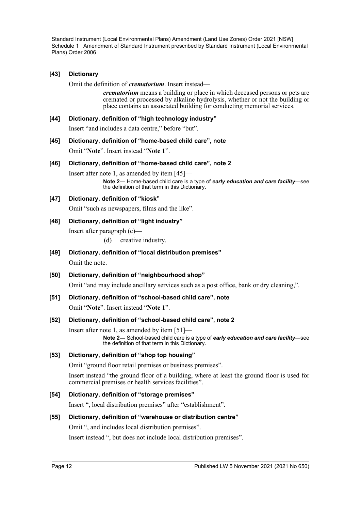#### **[43] Dictionary**

Omit the definition of *crematorium*. Insert instead—

*crematorium* means a building or place in which deceased persons or pets are cremated or processed by alkaline hydrolysis, whether or not the building or place contains an associated building for conducting memorial services.

#### **[44] Dictionary, definition of "high technology industry"**

Insert "and includes a data centre," before "but".

#### **[45] Dictionary, definition of "home-based child care", note**

Omit "**Note**". Insert instead "**Note 1**".

#### **[46] Dictionary, definition of "home-based child care", note 2**

Insert after note 1, as amended by item [45]—

**Note 2—** Home-based child care is a type of *early education and care facility*—see the definition of that term in this Dictionary.

#### **[47] Dictionary, definition of "kiosk"**

Omit "such as newspapers, films and the like".

## **[48] Dictionary, definition of "light industry"** Insert after paragraph (c)—

(d) creative industry.

## **[49] Dictionary, definition of "local distribution premises"** Omit the note.

**[50] Dictionary, definition of "neighbourhood shop"** Omit "and may include ancillary services such as a post office, bank or dry cleaning,".

#### **[51] Dictionary, definition of "school-based child care", note**

Omit "**Note**". Insert instead "**Note 1**".

#### **[52] Dictionary, definition of "school-based child care", note 2**

Insert after note 1, as amended by item [51]— **Note 2—** School-based child care is a type of *early education and care facility*—see the definition of that term in this Dictionary.

#### **[53] Dictionary, definition of "shop top housing"**

Omit "ground floor retail premises or business premises".

Insert instead "the ground floor of a building, where at least the ground floor is used for commercial premises or health services facilities".

#### **[54] Dictionary, definition of "storage premises"**

Insert ", local distribution premises" after "establishment".

#### **[55] Dictionary, definition of "warehouse or distribution centre"**

Omit ", and includes local distribution premises".

Insert instead ", but does not include local distribution premises".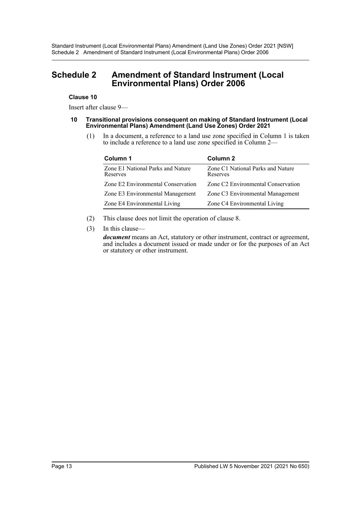## **Schedule 2 Amendment of Standard Instrument (Local Environmental Plans) Order 2006**

#### **Clause 10**

Insert after clause 9—

- **10 Transitional provisions consequent on making of Standard Instrument (Local Environmental Plans) Amendment (Land Use Zones) Order 2021**
	- (1) In a document, a reference to a land use zone specified in Column 1 is taken to include a reference to a land use zone specified in Column 2—

| Column 1                                      | Column 2                                         |
|-----------------------------------------------|--------------------------------------------------|
| Zone E1 National Parks and Nature<br>Reserves | Zone C1 National Parks and Nature<br>Reserves    |
| Zone E2 Environmental Conservation            | Zone C <sub>2</sub> . Environmental Conservation |
| Zone E3 Environmental Management              | Zone C3 Environmental Management                 |
| Zone E4 Environmental Living                  | Zone C4 Environmental Living                     |

- (2) This clause does not limit the operation of clause 8.
- (3) In this clause—

*document* means an Act, statutory or other instrument, contract or agreement, and includes a document issued or made under or for the purposes of an Act or statutory or other instrument.